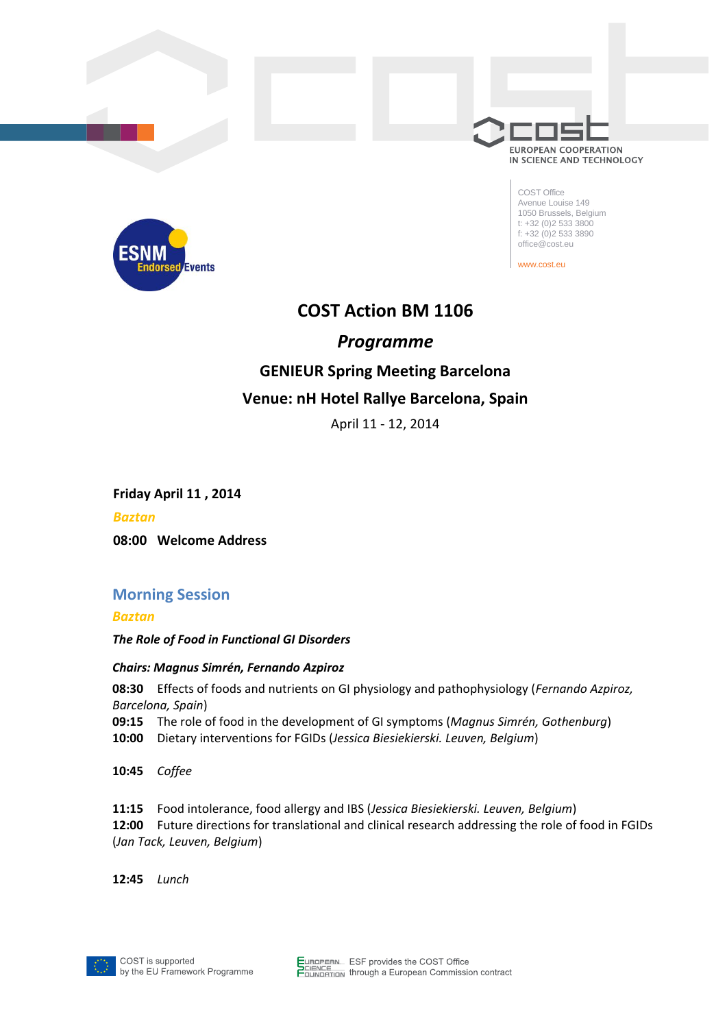

COST Office Avenue Louise 149 1050 Brussels, Belgium t: +32 (0)2 533 3800 f:  $+32$  (0)2 533 3890 office@cost.eu

www.cost.eu



# **COST Action BM 1106**

## *Programme*

# **GENIEUR Spring Meeting Barcelona Venue: nH Hotel Rallye Barcelona, Spain**

April 11 - 12, 2014

**Friday April 11 , 2014**

*Baztan*

**08:00 Welcome Address**

## **Morning Session**

*Baztan*

*The Role of Food in Functional GI Disorders*

### *Chairs: Magnus Simrén, Fernando Azpiroz*

**08:30** Effects of foods and nutrients on GI physiology and pathophysiology (*Fernando Azpiroz, Barcelona, Spain*)

- **09:15** The role of food in the development of GI symptoms (*Magnus Simrén, Gothenburg*)
- **10:00** Dietary interventions for FGIDs (*Jessica Biesiekierski. Leuven, Belgium*)

**10:45** *Coffee*

**11:15** Food intolerance, food allergy and IBS (*Jessica Biesiekierski. Leuven, Belgium*)

**12:00** Future directions for translational and clinical research addressing the role of food in FGIDs (*Jan Tack, Leuven, Belgium*)

**12:45** *Lunch* 

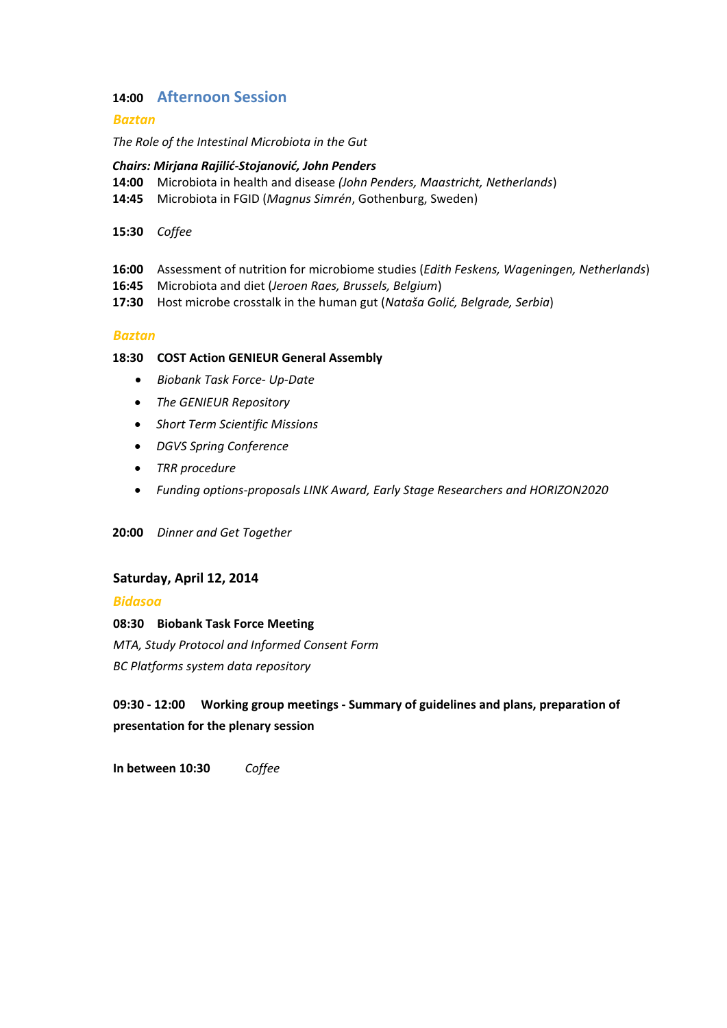### **14:00 Afternoon Session**

#### *Baztan*

*The Role of the Intestinal Microbiota in the Gut*

#### *Chairs: Mirjana Rajilid-Stojanovid, John Penders*

- **14:00** Microbiota in health and disease *(John Penders, Maastricht, Netherlands*)
- **14:45** Microbiota in FGID (*Magnus Simrén*, Gothenburg, Sweden)
- **15:30** *Coffee*
- **16:00** Assessment of nutrition for microbiome studies (*Edith Feskens, Wageningen, Netherlands*)
- **16:45** Microbiota and diet (*Jeroen Raes, Brussels, Belgium*)
- **17:30** Host microbe crosstalk in the human gut (*Nataša Golić, Belgrade, Serbia*)

#### *Baztan*

#### **18:30 COST Action GENIEUR General Assembly**

- *Biobank Task Force- Up-Date*
- *The GENIEUR Repository*
- *Short Term Scientific Missions*
- *DGVS Spring Conference*
- *TRR procedure*
- *Funding options-proposals LINK Award, Early Stage Researchers and HORIZON2020*

**20:00** *Dinner and Get Together*

#### **Saturday, April 12, 2014**

*Bidasoa*

**08:30 Biobank Task Force Meeting** *MTA, Study Protocol and Informed Consent Form BC Platforms system data repository*

**09:30 - 12:00 Working group meetings - Summary of guidelines and plans, preparation of presentation for the plenary session**

**In between 10:30** *Coffee*